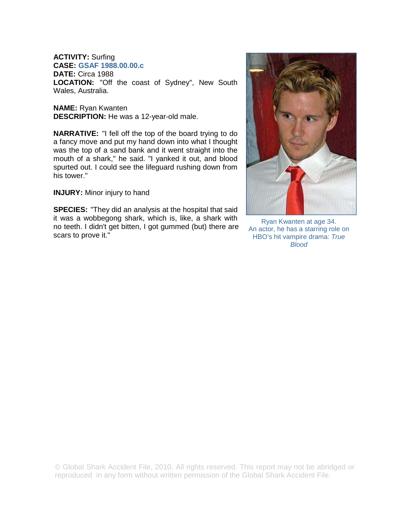# **ACTIVITY:** Surfing

**CASE: GSAF 1988.00.00.c**

**DATE:** Circa 1988 **LOCATION:** "Off the coast of Sydney", New South Wales, Australia.

**NAME:** Ryan Kwanten **DESCRIPTION:** He was a 12-year-old male.

**NARRATIVE:** "I fell off the top of the board trying to do a fancy move and put my hand down into what I thought was the top of a sand bank and it went straight into the mouth of a shark," he said. "I yanked it out, and blood spurted out. I could see the lifeguard rushing down from his tower."

**INJURY:** Minor injury to hand

**SPECIES:** "They did an analysis at the hospital that said it was a wobbegong shark, which is, like, a shark with no teeth. I didn't get bitten, I got gummed (but) there are scars to prove it."



Ryan Kwanten at age 34. An actor, he has a starring role on HBO's hit vampire drama: *True Blood*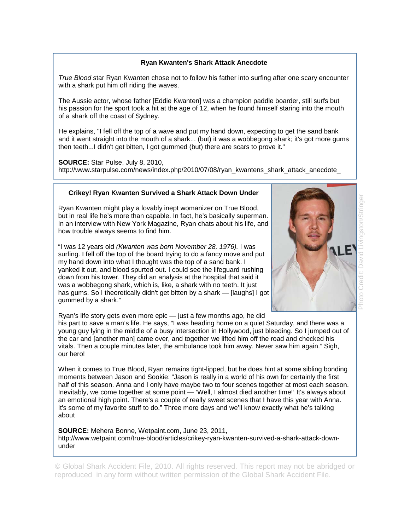## **Ryan Kwanten's Shark Attack Anecdote**

*True Blood* star Ryan Kwanten chose not to follow his father into surfing after one scary encounter with a shark put him off riding the waves.

The Aussie actor, whose father [Eddie Kwanten] was a champion paddle boarder, still surfs but his passion for the sport took a hit at the age of 12, when he found himself staring into the mouth of a shark off the coast of Sydney.

He explains, "I fell off the top of a wave and put my hand down, expecting to get the sand bank and it went straight into the mouth of a shark... (but) it was a wobbegong shark; it's got more gums then teeth...I didn't get bitten, I got gummed (but) there are scars to prove it."

**SOURCE:** Star Pulse, July 8, 2010, http://www.starpulse.com/news/index.php/2010/07/08/ryan\_kwantens\_shark\_attack\_anecdote\_

### **Crikey! Ryan Kwanten Survived a Shark Attack Down Under**

Ryan Kwanten might play a lovably inept womanizer on True Blood, but in real life he's more than capable. In fact, he's basically superman. In an interview with New York Magazine, Ryan chats about his life, and how trouble always seems to find him.

"I was 12 years old *(Kwanten was born November 28, 1976).* I was surfing. I fell off the top of the board trying to do a fancy move and put my hand down into what I thought was the top of a sand bank. I yanked it out, and blood spurted out. I could see the lifeguard rushing down from his tower. They did an analysis at the hospital that said it was a wobbegong shark, which is, like, a shark with no teeth. It just has gums. So I theoretically didn't get bitten by a shark — [laughs] I got gummed by a shark."



Ryan's life story gets even more epic — just a few months ago, he did

his part to save a man's life. He says, "I was heading home on a quiet Saturday, and there was a young guy lying in the middle of a busy intersection in Hollywood, just bleeding. So I jumped out of the car and [another man] came over, and together we lifted him off the road and checked his vitals. Then a couple minutes later, the ambulance took him away. Never saw him again." Sigh, our hero!

When it comes to True Blood, Ryan remains tight-lipped, but he does hint at some sibling bonding moments between Jason and Sookie: "Jason is really in a world of his own for certainly the first half of this season. Anna and I only have maybe two to four scenes together at most each season. Inevitably, we come together at some point — 'Well, I almost died another time!' It's always about an emotional high point. There's a couple of really sweet scenes that I have this year with Anna. It's some of my favorite stuff to do." Three more days and we'll know exactly what he's talking about

**SOURCE:** Mehera Bonne, Wetpaint.com, June 23, 2011, http://www.wetpaint.com/true-blood/articles/crikey-ryan-kwanten-survived-a-shark-attack-downunder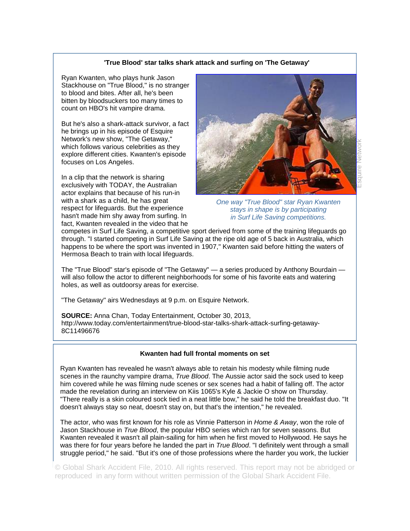#### **'True Blood' star talks shark attack and surfing on 'The Getaway'**

Ryan Kwanten, who plays hunk Jason Stackhouse on "True Blood," is no stranger to blood and bites. After all, he's been bitten by bloodsuckers too many times to count on HBO's hit vampire drama.

But he's also a shark-attack survivor, a fact he brings up in his episode of Esquire Network's new show, "The Getaway," which follows various celebrities as they explore different cities. Kwanten's episode focuses on Los Angeles.

In a clip that the network is sharing exclusively with TODAY, the Australian actor explains that because of his run-in with a shark as a child, he has great respect for lifeguards. But the experience hasn't made him shy away from surfing. In fact, Kwanten revealed in the video that he



*One way "True Blood" star Ryan Kwanten stays in shape is by participating in Surf Life Saving competitions.* 

competes in Surf Life Saving, a competitive sport derived from some of the training lifeguards go through. "I started competing in Surf Life Saving at the ripe old age of 5 back in Australia, which happens to be where the sport was invented in 1907," Kwanten said before hitting the waters of Hermosa Beach to train with local lifeguards.

The "True Blood" star's episode of "The Getaway" — a series produced by Anthony Bourdain will also follow the actor to different neighborhoods for some of his favorite eats and watering holes, as well as outdoorsy areas for exercise.

"The Getaway" airs Wednesdays at 9 p.m. on Esquire Network.

**SOURCE:** Anna Chan, Today Entertainment, October 30, 2013, http://www.today.com/entertainment/true-blood-star-talks-shark-attack-surfing-getaway-8C11496676

#### **Kwanten had full frontal moments on set**

Ryan Kwanten has revealed he wasn't always able to retain his modesty while filming nude scenes in the raunchy vampire drama, *True Blood*. The Aussie actor said the sock used to keep him covered while he was filming nude scenes or sex scenes had a habit of falling off. The actor made the revelation during an interview on Kiis 1065's Kyle & Jackie O show on Thursday. "There really is a skin coloured sock tied in a neat little bow," he said he told the breakfast duo. "It doesn't always stay so neat, doesn't stay on, but that's the intention," he revealed.

The actor, who was first known for his role as Vinnie Patterson in *Home & Away*, won the role of Jason Stackhouse in *True Blood*, the popular HBO series which ran for seven seasons. But Kwanten revealed it wasn't all plain-sailing for him when he first moved to Hollywood. He says he was there for four years before he landed the part in *True Blood*. "I definitely went through a small struggle period," he said. "But it's one of those professions where the harder you work, the luckier